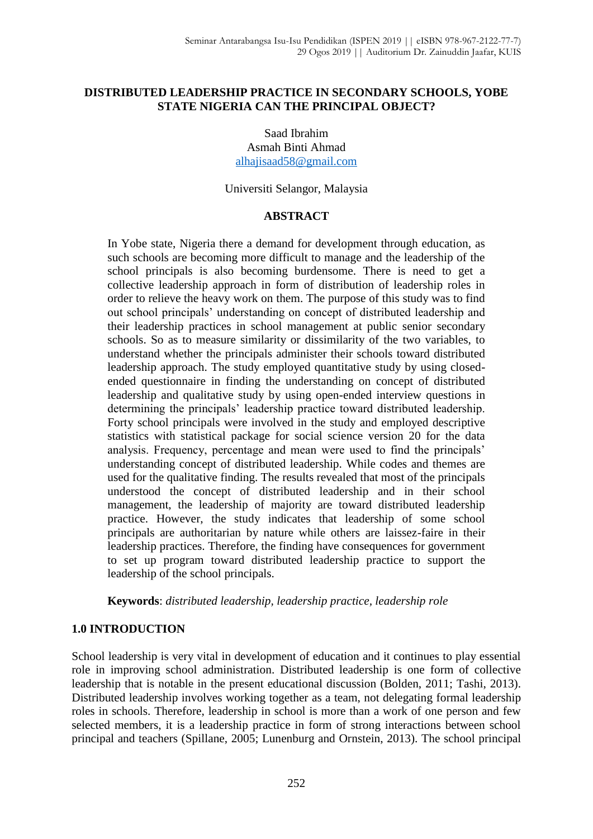## **DISTRIBUTED LEADERSHIP PRACTICE IN SECONDARY SCHOOLS, YOBE STATE NIGERIA CAN THE PRINCIPAL OBJECT?**

Saad Ibrahim Asmah Binti Ahmad [alhajisaad58@gmail.com](mailto:alhajisaad58@gmail.com)

Universiti Selangor, Malaysia

## **ABSTRACT**

In Yobe state, Nigeria there a demand for development through education, as such schools are becoming more difficult to manage and the leadership of the school principals is also becoming burdensome. There is need to get a collective leadership approach in form of distribution of leadership roles in order to relieve the heavy work on them. The purpose of this study was to find out school principals' understanding on concept of distributed leadership and their leadership practices in school management at public senior secondary schools. So as to measure similarity or dissimilarity of the two variables, to understand whether the principals administer their schools toward distributed leadership approach. The study employed quantitative study by using closedended questionnaire in finding the understanding on concept of distributed leadership and qualitative study by using open-ended interview questions in determining the principals' leadership practice toward distributed leadership. Forty school principals were involved in the study and employed descriptive statistics with statistical package for social science version 20 for the data analysis. Frequency, percentage and mean were used to find the principals' understanding concept of distributed leadership. While codes and themes are used for the qualitative finding. The results revealed that most of the principals understood the concept of distributed leadership and in their school management, the leadership of majority are toward distributed leadership practice. However, the study indicates that leadership of some school principals are authoritarian by nature while others are laissez-faire in their leadership practices. Therefore, the finding have consequences for government to set up program toward distributed leadership practice to support the leadership of the school principals.

## **Keywords**: *distributed leadership, leadership practice, leadership role*

## **1.0 INTRODUCTION**

School leadership is very vital in development of education and it continues to play essential role in improving school administration. Distributed leadership is one form of collective leadership that is notable in the present educational discussion (Bolden, 2011; Tashi, 2013). Distributed leadership involves working together as a team, not delegating formal leadership roles in schools. Therefore, leadership in school is more than a work of one person and few selected members, it is a leadership practice in form of strong interactions between school principal and teachers (Spillane, 2005; Lunenburg and Ornstein, 2013). The school principal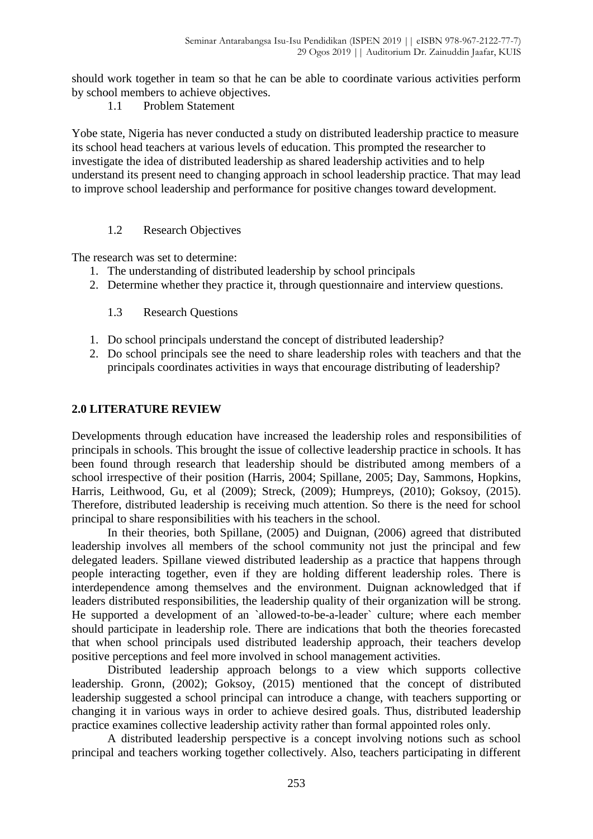should work together in team so that he can be able to coordinate various activities perform by school members to achieve objectives.

1.1 Problem Statement

Yobe state, Nigeria has never conducted a study on distributed leadership practice to measure its school head teachers at various levels of education. This prompted the researcher to investigate the idea of distributed leadership as shared leadership activities and to help understand its present need to changing approach in school leadership practice. That may lead to improve school leadership and performance for positive changes toward development.

## 1.2 Research Objectives

The research was set to determine:

- 1. The understanding of distributed leadership by school principals
- 2. Determine whether they practice it, through questionnaire and interview questions.
	- 1.3 Research Questions
- 1. Do school principals understand the concept of distributed leadership?
- 2. Do school principals see the need to share leadership roles with teachers and that the principals coordinates activities in ways that encourage distributing of leadership?

## **2.0 LITERATURE REVIEW**

Developments through education have increased the leadership roles and responsibilities of principals in schools. This brought the issue of collective leadership practice in schools. It has been found through research that leadership should be distributed among members of a school irrespective of their position (Harris, 2004; Spillane, 2005; Day, Sammons, Hopkins, Harris, Leithwood, Gu, et al (2009); Streck, (2009); Humpreys, (2010); Goksoy, (2015). Therefore, distributed leadership is receiving much attention. So there is the need for school principal to share responsibilities with his teachers in the school.

In their theories, both Spillane, (2005) and Duignan, (2006) agreed that distributed leadership involves all members of the school community not just the principal and few delegated leaders. Spillane viewed distributed leadership as a practice that happens through people interacting together, even if they are holding different leadership roles. There is interdependence among themselves and the environment. Duignan acknowledged that if leaders distributed responsibilities, the leadership quality of their organization will be strong. He supported a development of an `allowed-to-be-a-leader` culture; where each member should participate in leadership role. There are indications that both the theories forecasted that when school principals used distributed leadership approach, their teachers develop positive perceptions and feel more involved in school management activities.

Distributed leadership approach belongs to a view which supports collective leadership. Gronn, (2002); Goksoy, (2015) mentioned that the concept of distributed leadership suggested a school principal can introduce a change, with teachers supporting or changing it in various ways in order to achieve desired goals. Thus, distributed leadership practice examines collective leadership activity rather than formal appointed roles only.

A distributed leadership perspective is a concept involving notions such as school principal and teachers working together collectively. Also, teachers participating in different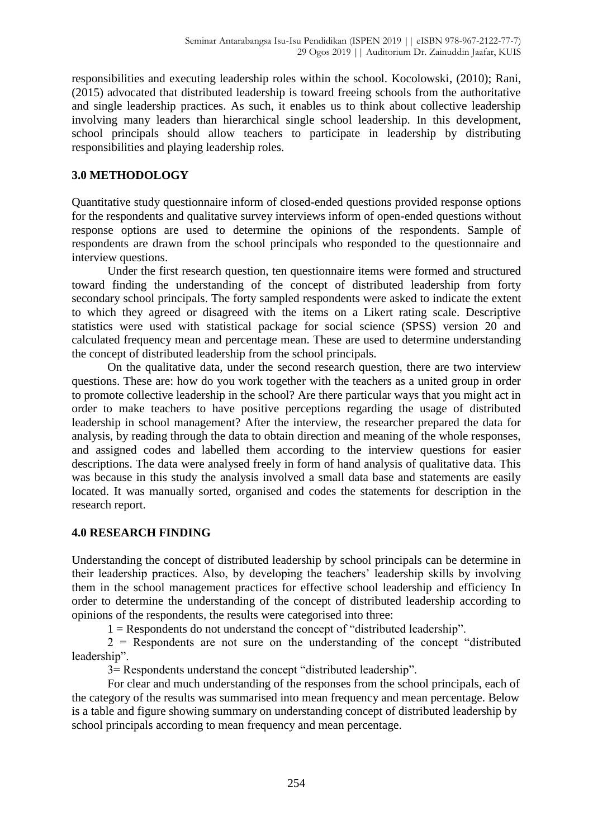responsibilities and executing leadership roles within the school. Kocolowski, (2010); Rani, (2015) advocated that distributed leadership is toward freeing schools from the authoritative and single leadership practices. As such, it enables us to think about collective leadership involving many leaders than hierarchical single school leadership. In this development, school principals should allow teachers to participate in leadership by distributing responsibilities and playing leadership roles.

# **3.0 METHODOLOGY**

Quantitative study questionnaire inform of closed-ended questions provided response options for the respondents and qualitative survey interviews inform of open-ended questions without response options are used to determine the opinions of the respondents. Sample of respondents are drawn from the school principals who responded to the questionnaire and interview questions.

Under the first research question, ten questionnaire items were formed and structured toward finding the understanding of the concept of distributed leadership from forty secondary school principals. The forty sampled respondents were asked to indicate the extent to which they agreed or disagreed with the items on a Likert rating scale. Descriptive statistics were used with statistical package for social science (SPSS) version 20 and calculated frequency mean and percentage mean. These are used to determine understanding the concept of distributed leadership from the school principals.

On the qualitative data, under the second research question, there are two interview questions. These are: how do you work together with the teachers as a united group in order to promote collective leadership in the school? Are there particular ways that you might act in order to make teachers to have positive perceptions regarding the usage of distributed leadership in school management? After the interview, the researcher prepared the data for analysis, by reading through the data to obtain direction and meaning of the whole responses, and assigned codes and labelled them according to the interview questions for easier descriptions. The data were analysed freely in form of hand analysis of qualitative data. This was because in this study the analysis involved a small data base and statements are easily located. It was manually sorted, organised and codes the statements for description in the research report.

# **4.0 RESEARCH FINDING**

Understanding the concept of distributed leadership by school principals can be determine in their leadership practices. Also, by developing the teachers' leadership skills by involving them in the school management practices for effective school leadership and efficiency In order to determine the understanding of the concept of distributed leadership according to opinions of the respondents, the results were categorised into three:

 $1 =$ Respondents do not understand the concept of "distributed leadership".

 $2$  = Respondents are not sure on the understanding of the concept "distributed" leadership".

3= Respondents understand the concept "distributed leadership".

For clear and much understanding of the responses from the school principals, each of the category of the results was summarised into mean frequency and mean percentage. Below is a table and figure showing summary on understanding concept of distributed leadership by school principals according to mean frequency and mean percentage.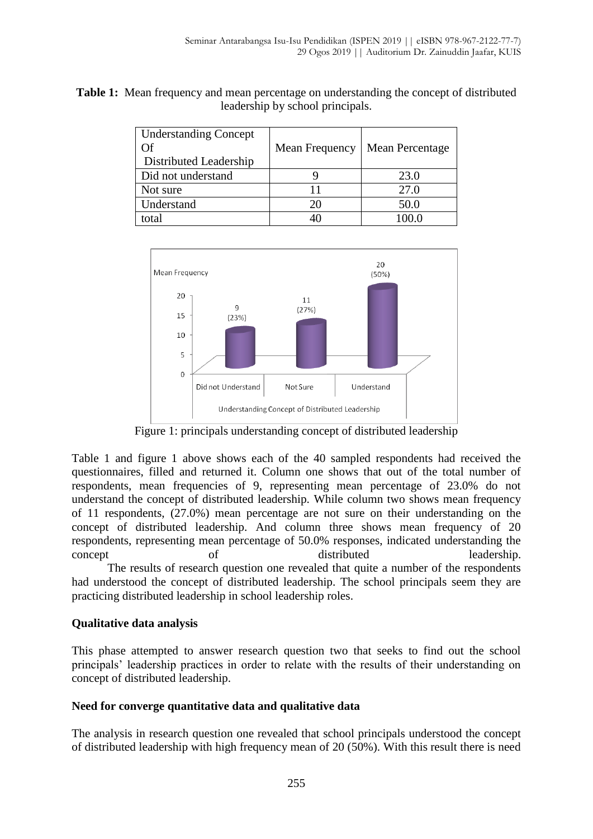**Table 1:** Mean frequency and mean percentage on understanding the concept of distributed leadership by school principals.

| <b>Understanding Concept</b><br>Ŋf<br>Distributed Leadership | Mean Frequency | Mean Percentage |
|--------------------------------------------------------------|----------------|-----------------|
| Did not understand                                           |                | 23.0            |
| Not sure                                                     |                | 27.0            |
| Understand                                                   | 20             | 50.0            |
| total                                                        |                |                 |



Figure 1: principals understanding concept of distributed leadership

Table 1 and figure 1 above shows each of the 40 sampled respondents had received the questionnaires, filled and returned it. Column one shows that out of the total number of respondents, mean frequencies of 9, representing mean percentage of 23.0% do not understand the concept of distributed leadership. While column two shows mean frequency of 11 respondents, (27.0%) mean percentage are not sure on their understanding on the concept of distributed leadership. And column three shows mean frequency of 20 respondents, representing mean percentage of 50.0% responses, indicated understanding the concept of distributed leadership. The results of research question one revealed that quite a number of the respondents had understood the concept of distributed leadership. The school principals seem they are

practicing distributed leadership in school leadership roles.

# **Qualitative data analysis**

This phase attempted to answer research question two that seeks to find out the school principals' leadership practices in order to relate with the results of their understanding on concept of distributed leadership.

# **Need for converge quantitative data and qualitative data**

The analysis in research question one revealed that school principals understood the concept of distributed leadership with high frequency mean of 20 (50%). With this result there is need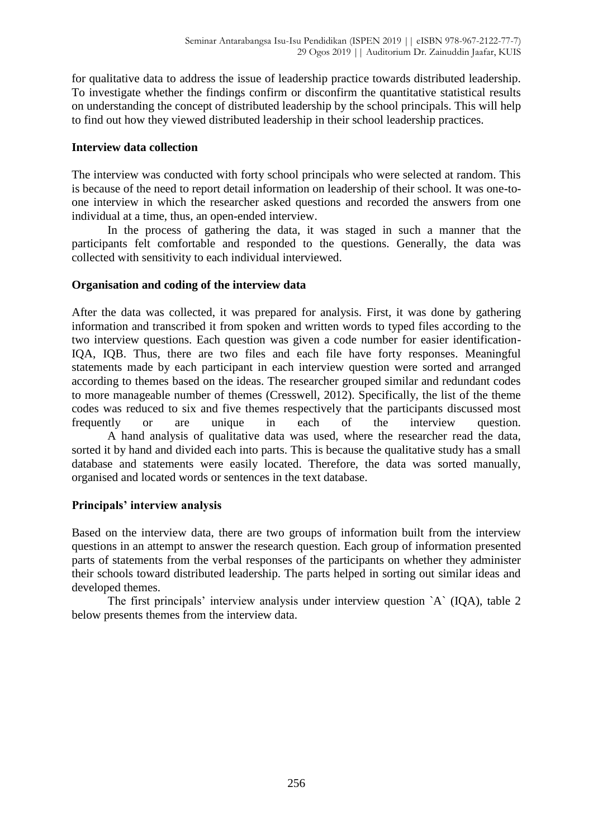for qualitative data to address the issue of leadership practice towards distributed leadership. To investigate whether the findings confirm or disconfirm the quantitative statistical results on understanding the concept of distributed leadership by the school principals. This will help to find out how they viewed distributed leadership in their school leadership practices.

# **Interview data collection**

The interview was conducted with forty school principals who were selected at random. This is because of the need to report detail information on leadership of their school. It was one-toone interview in which the researcher asked questions and recorded the answers from one individual at a time, thus, an open-ended interview.

In the process of gathering the data, it was staged in such a manner that the participants felt comfortable and responded to the questions. Generally, the data was collected with sensitivity to each individual interviewed.

# **Organisation and coding of the interview data**

After the data was collected, it was prepared for analysis. First, it was done by gathering information and transcribed it from spoken and written words to typed files according to the two interview questions. Each question was given a code number for easier identification-IQA, IQB. Thus, there are two files and each file have forty responses. Meaningful statements made by each participant in each interview question were sorted and arranged according to themes based on the ideas. The researcher grouped similar and redundant codes to more manageable number of themes (Cresswell, 2012). Specifically, the list of the theme codes was reduced to six and five themes respectively that the participants discussed most frequently or are unique in each of the interview question. A hand analysis of qualitative data was used, where the researcher read the data, sorted it by hand and divided each into parts. This is because the qualitative study has a small database and statements were easily located. Therefore, the data was sorted manually, organised and located words or sentences in the text database.

# **Principals' interview analysis**

Based on the interview data, there are two groups of information built from the interview questions in an attempt to answer the research question. Each group of information presented parts of statements from the verbal responses of the participants on whether they administer their schools toward distributed leadership. The parts helped in sorting out similar ideas and developed themes.

The first principals' interview analysis under interview question `A` (IQA), table 2 below presents themes from the interview data.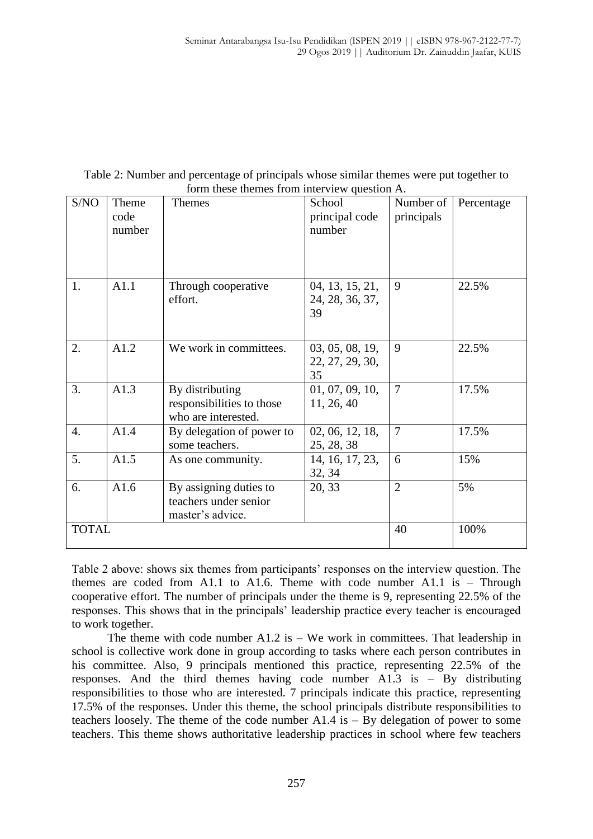| Table 2: Number and percentage of principals whose similar themes were put together to |  |
|----------------------------------------------------------------------------------------|--|
| form these themes from interview question A.                                           |  |

| S/NO         | Theme<br>code<br>number | <b>Themes</b>                                                       | School<br>principal code<br>number       | Number of<br>principals | Percentage |
|--------------|-------------------------|---------------------------------------------------------------------|------------------------------------------|-------------------------|------------|
| 1.           | A1.1                    | Through cooperative<br>effort.                                      | 04, 13, 15, 21,<br>24, 28, 36, 37,<br>39 | 9                       | 22.5%      |
| 2.           | A1.2                    | We work in committees.                                              | 03, 05, 08, 19,<br>22, 27, 29, 30,<br>35 | 9                       | 22.5%      |
| 3.           | A1.3                    | By distributing<br>responsibilities to those<br>who are interested. | 01, 07, 09, 10,<br>11, 26, 40            | $\overline{7}$          | 17.5%      |
| 4.           | A1.4                    | By delegation of power to<br>some teachers.                         | 02, 06, 12, 18,<br>25, 28, 38            | $\overline{7}$          | 17.5%      |
| 5.           | A1.5                    | As one community.                                                   | 14, 16, 17, 23,<br>32, 34                | 6                       | 15%        |
| 6.           | A1.6                    | By assigning duties to<br>teachers under senior<br>master's advice. | 20, 33                                   | $\overline{2}$          | 5%         |
| <b>TOTAL</b> |                         |                                                                     |                                          | 40                      | 100%       |

Table 2 above: shows six themes from participants' responses on the interview question. The themes are coded from A1.1 to A1.6. Theme with code number A1.1 is  $-$  Through cooperative effort. The number of principals under the theme is 9, representing 22.5% of the responses. This shows that in the principals' leadership practice every teacher is encouraged to work together.

The theme with code number A1.2 is  $-$  We work in committees. That leadership in school is collective work done in group according to tasks where each person contributes in his committee. Also, 9 principals mentioned this practice, representing 22.5% of the responses. And the third themes having code number A1.3 is – By distributing responsibilities to those who are interested. 7 principals indicate this practice, representing 17.5% of the responses. Under this theme, the school principals distribute responsibilities to teachers loosely. The theme of the code number  $A1.4$  is  $-$  By delegation of power to some teachers. This theme shows authoritative leadership practices in school where few teachers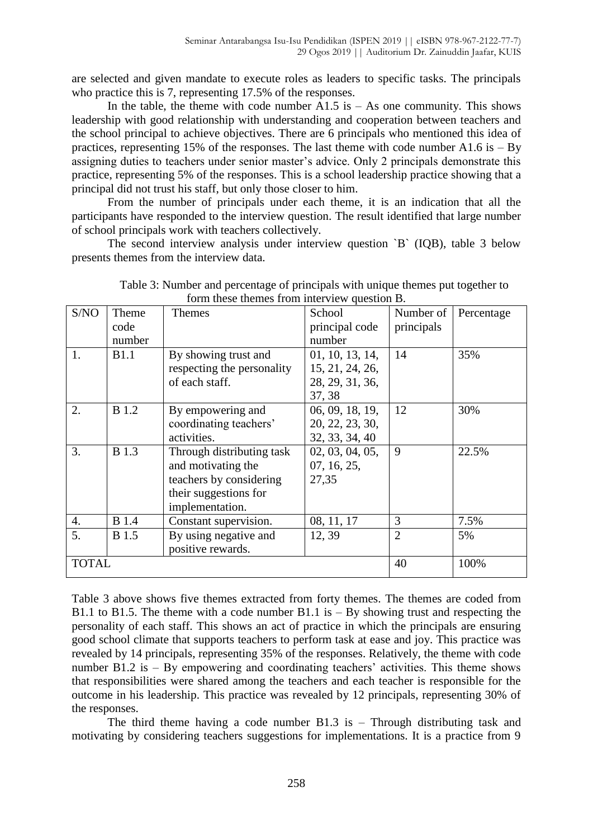are selected and given mandate to execute roles as leaders to specific tasks. The principals who practice this is 7, representing 17.5% of the responses.

In the table, the theme with code number  $A1.5$  is  $-$  As one community. This shows leadership with good relationship with understanding and cooperation between teachers and the school principal to achieve objectives. There are 6 principals who mentioned this idea of practices, representing 15% of the responses. The last theme with code number A1.6 is  $-$  By assigning duties to teachers under senior master's advice. Only 2 principals demonstrate this practice, representing 5% of the responses. This is a school leadership practice showing that a principal did not trust his staff, but only those closer to him.

From the number of principals under each theme, it is an indication that all the participants have responded to the interview question. The result identified that large number of school principals work with teachers collectively.

The second interview analysis under interview question `B` (IQB), table 3 below presents themes from the interview data.

|              |              | $\frac{1}{2}$ and $\frac{1}{2}$ are $\frac{1}{2}$ and $\frac{1}{2}$ and $\frac{1}{2}$ are $\frac{1}{2}$ |                 |                |            |
|--------------|--------------|---------------------------------------------------------------------------------------------------------|-----------------|----------------|------------|
| S/NO         | Theme        | Themes                                                                                                  | School          | Number of      | Percentage |
|              | code         |                                                                                                         | principal code  | principals     |            |
|              | number       |                                                                                                         | number          |                |            |
| 1.           | <b>B1.1</b>  | By showing trust and                                                                                    | 01, 10, 13, 14, | 14             | 35%        |
|              |              | respecting the personality                                                                              | 15, 21, 24, 26, |                |            |
|              |              | of each staff.                                                                                          | 28, 29, 31, 36, |                |            |
|              |              |                                                                                                         | 37, 38          |                |            |
| 2.           | <b>B</b> 1.2 | By empowering and                                                                                       | 06, 09, 18, 19, | 12             | 30%        |
|              |              | coordinating teachers'                                                                                  | 20, 22, 23, 30, |                |            |
|              |              | activities.                                                                                             | 32, 33, 34, 40  |                |            |
| 3.           | <b>B</b> 1.3 | Through distributing task                                                                               | 02, 03, 04, 05, | 9              | 22.5%      |
|              |              | and motivating the                                                                                      | 07, 16, 25,     |                |            |
|              |              | teachers by considering                                                                                 | 27,35           |                |            |
|              |              | their suggestions for                                                                                   |                 |                |            |
|              |              | implementation.                                                                                         |                 |                |            |
| 4.           | <b>B</b> 1.4 | Constant supervision.                                                                                   | 08, 11, 17      | 3              | 7.5%       |
| 5.           | <b>B</b> 1.5 | By using negative and                                                                                   | 12, 39          | $\overline{2}$ | 5%         |
|              |              | positive rewards.                                                                                       |                 |                |            |
| <b>TOTAL</b> |              |                                                                                                         | 40              | 100%           |            |

Table 3: Number and percentage of principals with unique themes put together to form these themes from interview question B.

Table 3 above shows five themes extracted from forty themes. The themes are coded from B1.1 to B1.5. The theme with a code number B1.1 is  $-$  By showing trust and respecting the personality of each staff. This shows an act of practice in which the principals are ensuring good school climate that supports teachers to perform task at ease and joy. This practice was revealed by 14 principals, representing 35% of the responses. Relatively, the theme with code number B1.2 is – By empowering and coordinating teachers' activities. This theme shows that responsibilities were shared among the teachers and each teacher is responsible for the outcome in his leadership. This practice was revealed by 12 principals, representing 30% of the responses.

The third theme having a code number B1.3 is – Through distributing task and motivating by considering teachers suggestions for implementations. It is a practice from 9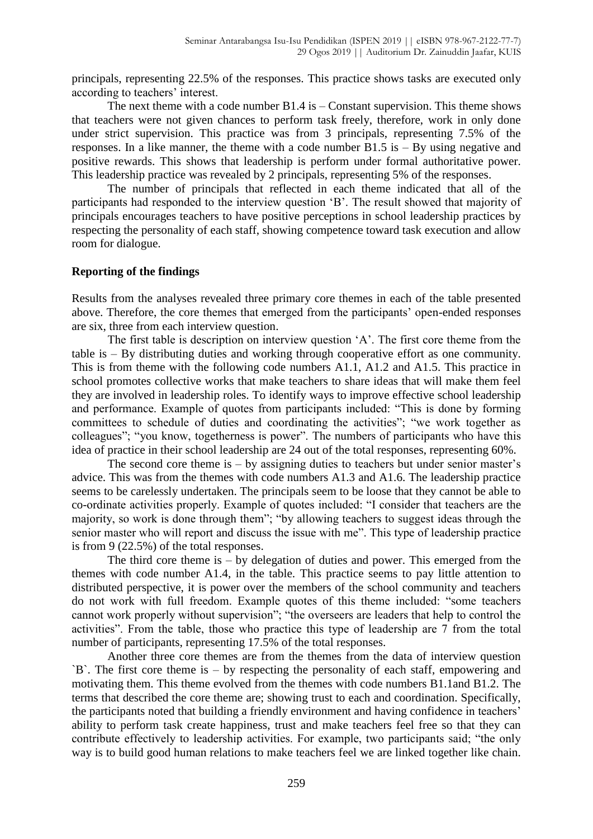principals, representing 22.5% of the responses. This practice shows tasks are executed only according to teachers' interest.

The next theme with a code number  $B1.4$  is  $-$  Constant supervision. This theme shows that teachers were not given chances to perform task freely, therefore, work in only done under strict supervision. This practice was from 3 principals, representing 7.5% of the responses. In a like manner, the theme with a code number  $B1.5$  is  $-$  By using negative and positive rewards. This shows that leadership is perform under formal authoritative power. This leadership practice was revealed by 2 principals, representing 5% of the responses.

The number of principals that reflected in each theme indicated that all of the participants had responded to the interview question 'B'. The result showed that majority of principals encourages teachers to have positive perceptions in school leadership practices by respecting the personality of each staff, showing competence toward task execution and allow room for dialogue.

#### **Reporting of the findings**

Results from the analyses revealed three primary core themes in each of the table presented above. Therefore, the core themes that emerged from the participants' open-ended responses are six, three from each interview question.

The first table is description on interview question 'A'. The first core theme from the table is – By distributing duties and working through cooperative effort as one community. This is from theme with the following code numbers A1.1, A1.2 and A1.5. This practice in school promotes collective works that make teachers to share ideas that will make them feel they are involved in leadership roles. To identify ways to improve effective school leadership and performance. Example of quotes from participants included: "This is done by forming committees to schedule of duties and coordinating the activities"; "we work together as colleagues"; "you know, togetherness is power". The numbers of participants who have this idea of practice in their school leadership are 24 out of the total responses, representing 60%.

The second core theme is  $-$  by assigning duties to teachers but under senior master's advice. This was from the themes with code numbers A1.3 and A1.6. The leadership practice seems to be carelessly undertaken. The principals seem to be loose that they cannot be able to co-ordinate activities properly. Example of quotes included: "I consider that teachers are the majority, so work is done through them"; "by allowing teachers to suggest ideas through the senior master who will report and discuss the issue with me". This type of leadership practice is from 9 (22.5%) of the total responses.

The third core theme is  $-$  by delegation of duties and power. This emerged from the themes with code number A1.4, in the table. This practice seems to pay little attention to distributed perspective, it is power over the members of the school community and teachers do not work with full freedom. Example quotes of this theme included: "some teachers cannot work properly without supervision"; "the overseers are leaders that help to control the activities". From the table, those who practice this type of leadership are 7 from the total number of participants, representing 17.5% of the total responses.

Another three core themes are from the themes from the data of interview question `B`. The first core theme is – by respecting the personality of each staff, empowering and motivating them. This theme evolved from the themes with code numbers B1.1and B1.2. The terms that described the core theme are; showing trust to each and coordination. Specifically, the participants noted that building a friendly environment and having confidence in teachers' ability to perform task create happiness, trust and make teachers feel free so that they can contribute effectively to leadership activities. For example, two participants said; "the only way is to build good human relations to make teachers feel we are linked together like chain.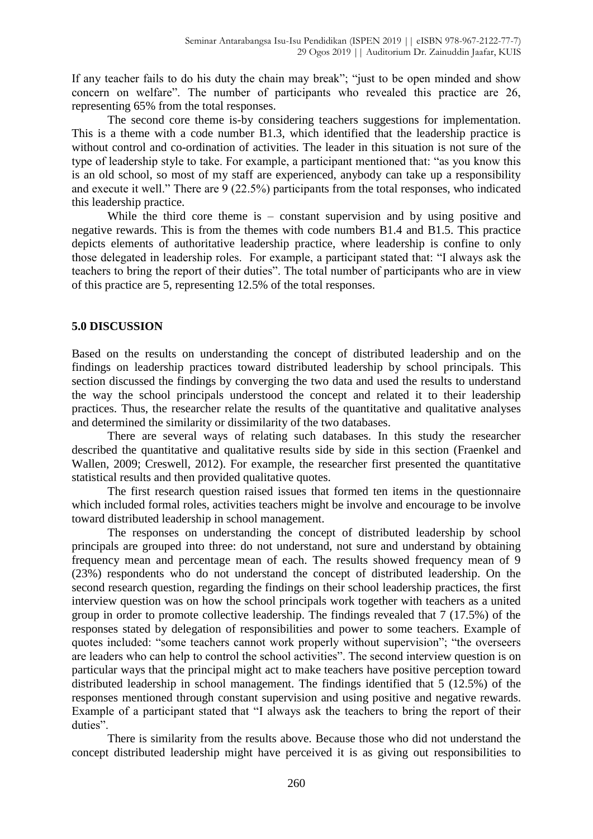If any teacher fails to do his duty the chain may break"; "just to be open minded and show concern on welfare". The number of participants who revealed this practice are 26, representing 65% from the total responses.

The second core theme is-by considering teachers suggestions for implementation. This is a theme with a code number B1.3, which identified that the leadership practice is without control and co-ordination of activities. The leader in this situation is not sure of the type of leadership style to take. For example, a participant mentioned that: "as you know this is an old school, so most of my staff are experienced, anybody can take up a responsibility and execute it well." There are 9 (22.5%) participants from the total responses, who indicated this leadership practice.

While the third core theme is – constant supervision and by using positive and negative rewards. This is from the themes with code numbers B1.4 and B1.5. This practice depicts elements of authoritative leadership practice, where leadership is confine to only those delegated in leadership roles. For example, a participant stated that: "I always ask the teachers to bring the report of their duties". The total number of participants who are in view of this practice are 5, representing 12.5% of the total responses.

## **5.0 DISCUSSION**

Based on the results on understanding the concept of distributed leadership and on the findings on leadership practices toward distributed leadership by school principals. This section discussed the findings by converging the two data and used the results to understand the way the school principals understood the concept and related it to their leadership practices. Thus, the researcher relate the results of the quantitative and qualitative analyses and determined the similarity or dissimilarity of the two databases.

There are several ways of relating such databases. In this study the researcher described the quantitative and qualitative results side by side in this section (Fraenkel and Wallen, 2009; Creswell, 2012). For example, the researcher first presented the quantitative statistical results and then provided qualitative quotes.

The first research question raised issues that formed ten items in the questionnaire which included formal roles, activities teachers might be involve and encourage to be involve toward distributed leadership in school management.

The responses on understanding the concept of distributed leadership by school principals are grouped into three: do not understand, not sure and understand by obtaining frequency mean and percentage mean of each. The results showed frequency mean of 9 (23%) respondents who do not understand the concept of distributed leadership. On the second research question, regarding the findings on their school leadership practices, the first interview question was on how the school principals work together with teachers as a united group in order to promote collective leadership. The findings revealed that 7 (17.5%) of the responses stated by delegation of responsibilities and power to some teachers. Example of quotes included: "some teachers cannot work properly without supervision"; "the overseers are leaders who can help to control the school activities". The second interview question is on particular ways that the principal might act to make teachers have positive perception toward distributed leadership in school management. The findings identified that 5 (12.5%) of the responses mentioned through constant supervision and using positive and negative rewards. Example of a participant stated that "I always ask the teachers to bring the report of their duties".

There is similarity from the results above. Because those who did not understand the concept distributed leadership might have perceived it is as giving out responsibilities to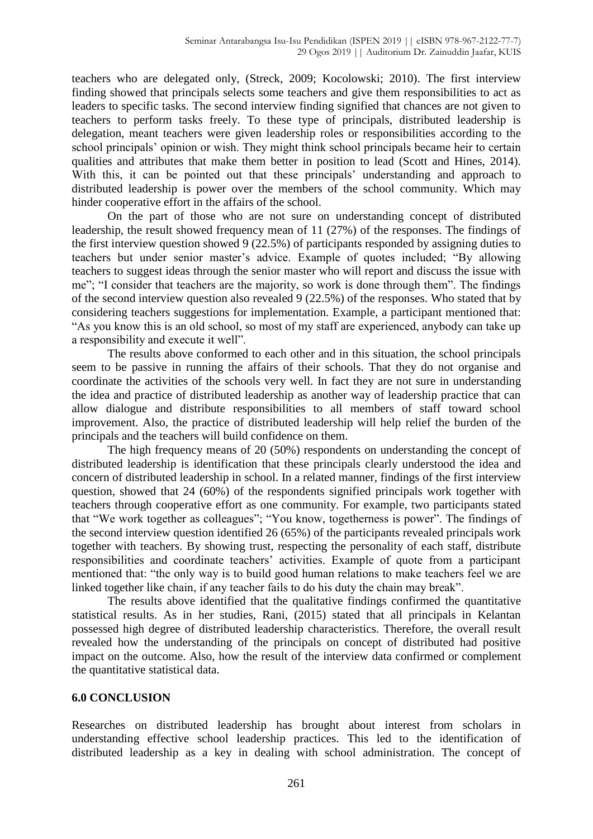teachers who are delegated only, (Streck, 2009; Kocolowski; 2010). The first interview finding showed that principals selects some teachers and give them responsibilities to act as leaders to specific tasks. The second interview finding signified that chances are not given to teachers to perform tasks freely. To these type of principals, distributed leadership is delegation, meant teachers were given leadership roles or responsibilities according to the school principals' opinion or wish. They might think school principals became heir to certain qualities and attributes that make them better in position to lead (Scott and Hines, 2014). With this, it can be pointed out that these principals' understanding and approach to distributed leadership is power over the members of the school community. Which may hinder cooperative effort in the affairs of the school.

On the part of those who are not sure on understanding concept of distributed leadership, the result showed frequency mean of 11 (27%) of the responses. The findings of the first interview question showed 9 (22.5%) of participants responded by assigning duties to teachers but under senior master's advice. Example of quotes included; "By allowing teachers to suggest ideas through the senior master who will report and discuss the issue with me"; "I consider that teachers are the majority, so work is done through them". The findings of the second interview question also revealed 9 (22.5%) of the responses. Who stated that by considering teachers suggestions for implementation. Example, a participant mentioned that: "As you know this is an old school, so most of my staff are experienced, anybody can take up a responsibility and execute it well".

The results above conformed to each other and in this situation, the school principals seem to be passive in running the affairs of their schools. That they do not organise and coordinate the activities of the schools very well. In fact they are not sure in understanding the idea and practice of distributed leadership as another way of leadership practice that can allow dialogue and distribute responsibilities to all members of staff toward school improvement. Also, the practice of distributed leadership will help relief the burden of the principals and the teachers will build confidence on them.

The high frequency means of 20 (50%) respondents on understanding the concept of distributed leadership is identification that these principals clearly understood the idea and concern of distributed leadership in school. In a related manner, findings of the first interview question, showed that 24 (60%) of the respondents signified principals work together with teachers through cooperative effort as one community. For example, two participants stated that "We work together as colleagues"; "You know, togetherness is power". The findings of the second interview question identified 26 (65%) of the participants revealed principals work together with teachers. By showing trust, respecting the personality of each staff, distribute responsibilities and coordinate teachers' activities. Example of quote from a participant mentioned that: "the only way is to build good human relations to make teachers feel we are linked together like chain, if any teacher fails to do his duty the chain may break".

The results above identified that the qualitative findings confirmed the quantitative statistical results. As in her studies, Rani, (2015) stated that all principals in Kelantan possessed high degree of distributed leadership characteristics. Therefore, the overall result revealed how the understanding of the principals on concept of distributed had positive impact on the outcome. Also, how the result of the interview data confirmed or complement the quantitative statistical data.

## **6.0 CONCLUSION**

Researches on distributed leadership has brought about interest from scholars in understanding effective school leadership practices. This led to the identification of distributed leadership as a key in dealing with school administration. The concept of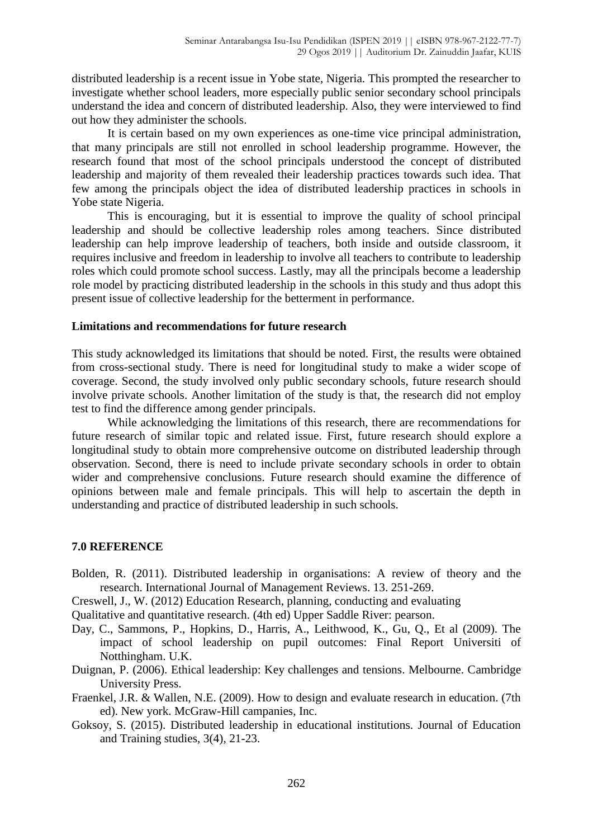distributed leadership is a recent issue in Yobe state, Nigeria. This prompted the researcher to investigate whether school leaders, more especially public senior secondary school principals understand the idea and concern of distributed leadership. Also, they were interviewed to find out how they administer the schools.

It is certain based on my own experiences as one-time vice principal administration, that many principals are still not enrolled in school leadership programme. However, the research found that most of the school principals understood the concept of distributed leadership and majority of them revealed their leadership practices towards such idea. That few among the principals object the idea of distributed leadership practices in schools in Yobe state Nigeria.

This is encouraging, but it is essential to improve the quality of school principal leadership and should be collective leadership roles among teachers. Since distributed leadership can help improve leadership of teachers, both inside and outside classroom, it requires inclusive and freedom in leadership to involve all teachers to contribute to leadership roles which could promote school success. Lastly, may all the principals become a leadership role model by practicing distributed leadership in the schools in this study and thus adopt this present issue of collective leadership for the betterment in performance.

## **Limitations and recommendations for future research**

This study acknowledged its limitations that should be noted. First, the results were obtained from cross-sectional study. There is need for longitudinal study to make a wider scope of coverage. Second, the study involved only public secondary schools, future research should involve private schools. Another limitation of the study is that, the research did not employ test to find the difference among gender principals.

While acknowledging the limitations of this research, there are recommendations for future research of similar topic and related issue. First, future research should explore a longitudinal study to obtain more comprehensive outcome on distributed leadership through observation. Second, there is need to include private secondary schools in order to obtain wider and comprehensive conclusions. Future research should examine the difference of opinions between male and female principals. This will help to ascertain the depth in understanding and practice of distributed leadership in such schools.

# **7.0 REFERENCE**

- Bolden, R. (2011). Distributed leadership in organisations: A review of theory and the research. International Journal of Management Reviews. 13. 251-269.
- Creswell, J., W. (2012) Education Research, planning, conducting and evaluating
- Qualitative and quantitative research. (4th ed) Upper Saddle River: pearson.
- Day, C., Sammons, P., Hopkins, D., Harris, A., Leithwood, K., Gu, Q., Et al (2009). The impact of school leadership on pupil outcomes: Final Report Universiti of Notthingham. U.K.
- Duignan, P. (2006). Ethical leadership: Key challenges and tensions. Melbourne. Cambridge University Press.
- Fraenkel, J.R. & Wallen, N.E. (2009). How to design and evaluate research in education. (7th ed). New york. McGraw-Hill campanies, Inc.
- Goksoy, S. (2015). Distributed leadership in educational institutions. Journal of Education and Training studies, 3(4), 21-23.